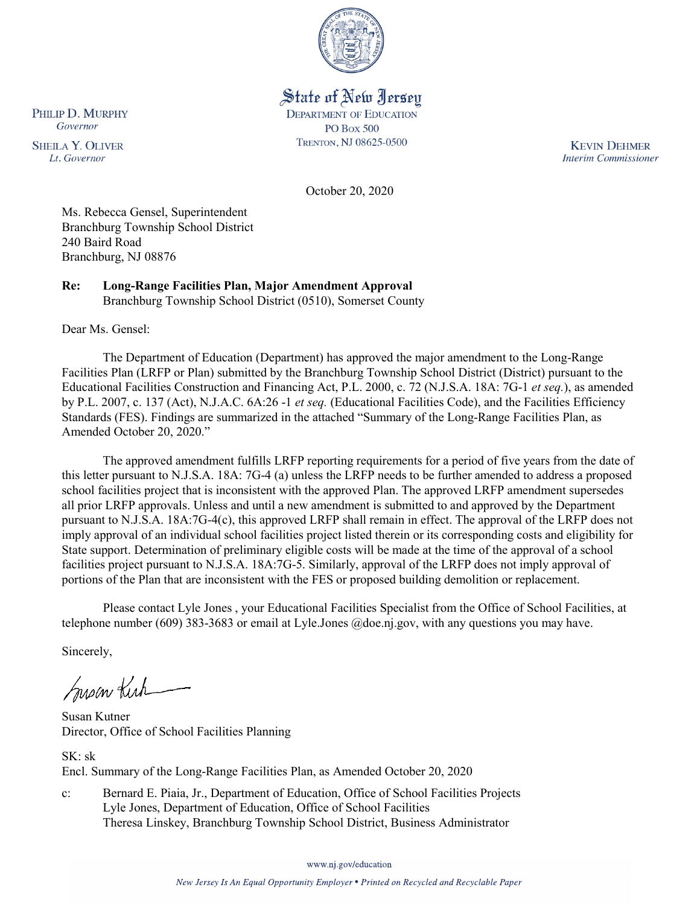

# State of New Jersey

**DEPARTMENT OF EDUCATION PO Box 500** TRENTON, NJ 08625-0500

**KEVIN DEHMER Interim Commissioner** 

October 20, 2020

Ms. Rebecca Gensel, Superintendent Branchburg Township School District 240 Baird Road Branchburg, NJ 08876

**Re: Long-Range Facilities Plan, Major Amendment Approval**  Branchburg Township School District (0510), Somerset County

Dear Ms. Gensel:

The Department of Education (Department) has approved the major amendment to the Long-Range Facilities Plan (LRFP or Plan) submitted by the Branchburg Township School District (District) pursuant to the Educational Facilities Construction and Financing Act, P.L. 2000, c. 72 (N.J.S.A. 18A: 7G-1 *et seq.*), as amended by P.L. 2007, c. 137 (Act), N.J.A.C. 6A:26 -1 *et seq.* (Educational Facilities Code), and the Facilities Efficiency Standards (FES). Findings are summarized in the attached "Summary of the Long-Range Facilities Plan, as Amended October 20, 2020."

The approved amendment fulfills LRFP reporting requirements for a period of five years from the date of this letter pursuant to N.J.S.A. 18A: 7G-4 (a) unless the LRFP needs to be further amended to address a proposed school facilities project that is inconsistent with the approved Plan. The approved LRFP amendment supersedes all prior LRFP approvals. Unless and until a new amendment is submitted to and approved by the Department pursuant to N.J.S.A. 18A:7G-4(c), this approved LRFP shall remain in effect. The approval of the LRFP does not imply approval of an individual school facilities project listed therein or its corresponding costs and eligibility for State support. Determination of preliminary eligible costs will be made at the time of the approval of a school facilities project pursuant to N.J.S.A. 18A:7G-5. Similarly, approval of the LRFP does not imply approval of portions of the Plan that are inconsistent with the FES or proposed building demolition or replacement.

Please contact Lyle Jones , your Educational Facilities Specialist from the Office of School Facilities, at telephone number (609) 383-3683 or email at Lyle.Jones @doe.nj.gov, with any questions you may have.

Sincerely,

Susan Kich

Susan Kutner Director, Office of School Facilities Planning

SK: sk Encl. Summary of the Long-Range Facilities Plan, as Amended October 20, 2020

c: Bernard E. Piaia, Jr., Department of Education, Office of School Facilities Projects Lyle Jones, Department of Education, Office of School Facilities Theresa Linskey, Branchburg Township School District, Business Administrator

www.nj.gov/education

PHILIP D. MURPHY Governor

**SHEILA Y. OLIVER** Lt. Governor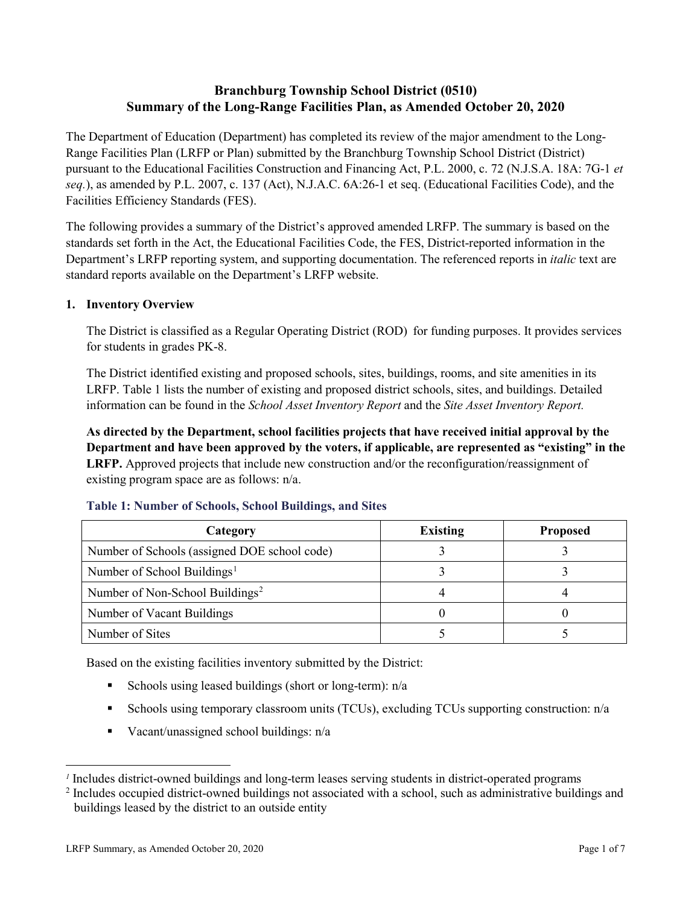# **Branchburg Township School District (0510) Summary of the Long-Range Facilities Plan, as Amended October 20, 2020**

The Department of Education (Department) has completed its review of the major amendment to the Long-Range Facilities Plan (LRFP or Plan) submitted by the Branchburg Township School District (District) pursuant to the Educational Facilities Construction and Financing Act, P.L. 2000, c. 72 (N.J.S.A. 18A: 7G-1 *et seq.*), as amended by P.L. 2007, c. 137 (Act), N.J.A.C. 6A:26-1 et seq. (Educational Facilities Code), and the Facilities Efficiency Standards (FES).

The following provides a summary of the District's approved amended LRFP. The summary is based on the standards set forth in the Act, the Educational Facilities Code, the FES, District-reported information in the Department's LRFP reporting system, and supporting documentation. The referenced reports in *italic* text are standard reports available on the Department's LRFP website.

#### **1. Inventory Overview**

The District is classified as a Regular Operating District (ROD) for funding purposes. It provides services for students in grades PK-8.

The District identified existing and proposed schools, sites, buildings, rooms, and site amenities in its LRFP. Table 1 lists the number of existing and proposed district schools, sites, and buildings. Detailed information can be found in the *School Asset Inventory Report* and the *Site Asset Inventory Report.*

**As directed by the Department, school facilities projects that have received initial approval by the Department and have been approved by the voters, if applicable, are represented as "existing" in the LRFP.** Approved projects that include new construction and/or the reconfiguration/reassignment of existing program space are as follows: n/a.

| Category                                     | <b>Existing</b> | <b>Proposed</b> |
|----------------------------------------------|-----------------|-----------------|
| Number of Schools (assigned DOE school code) |                 |                 |
| Number of School Buildings <sup>1</sup>      |                 |                 |
| Number of Non-School Buildings <sup>2</sup>  |                 |                 |
| Number of Vacant Buildings                   |                 |                 |
| Number of Sites                              |                 |                 |

#### **Table 1: Number of Schools, School Buildings, and Sites**

Based on the existing facilities inventory submitted by the District:

- Schools using leased buildings (short or long-term):  $n/a$
- Schools using temporary classroom units (TCUs), excluding TCUs supporting construction: n/a
- Vacant/unassigned school buildings:  $n/a$

 $\overline{a}$ 

<span id="page-1-0"></span>*<sup>1</sup>* Includes district-owned buildings and long-term leases serving students in district-operated programs

<span id="page-1-1"></span><sup>&</sup>lt;sup>2</sup> Includes occupied district-owned buildings not associated with a school, such as administrative buildings and buildings leased by the district to an outside entity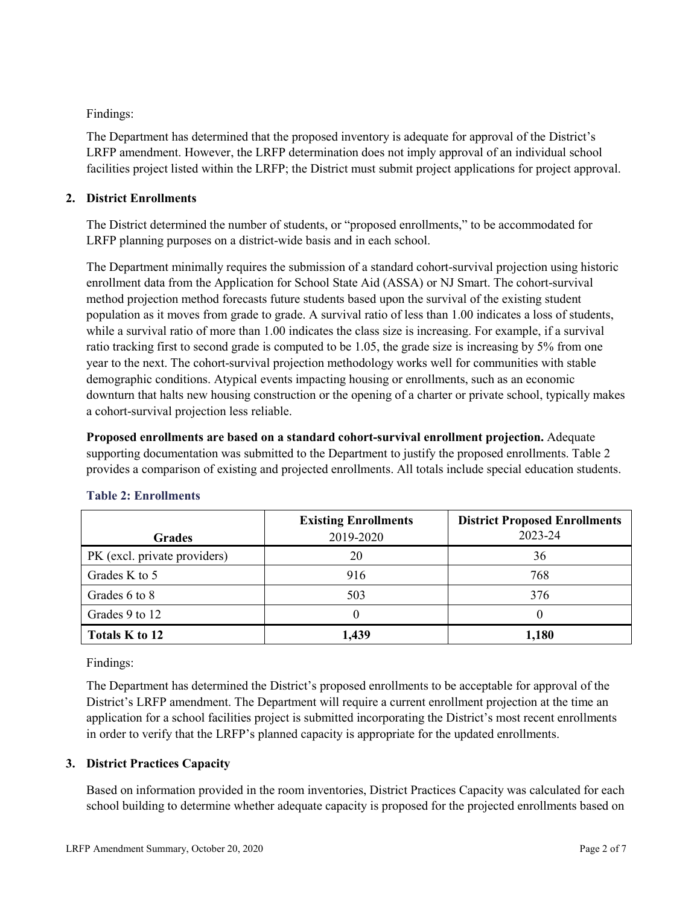Findings:

The Department has determined that the proposed inventory is adequate for approval of the District's LRFP amendment. However, the LRFP determination does not imply approval of an individual school facilities project listed within the LRFP; the District must submit project applications for project approval.

## **2. District Enrollments**

The District determined the number of students, or "proposed enrollments," to be accommodated for LRFP planning purposes on a district-wide basis and in each school.

The Department minimally requires the submission of a standard cohort-survival projection using historic enrollment data from the Application for School State Aid (ASSA) or NJ Smart. The cohort-survival method projection method forecasts future students based upon the survival of the existing student population as it moves from grade to grade. A survival ratio of less than 1.00 indicates a loss of students, while a survival ratio of more than 1.00 indicates the class size is increasing. For example, if a survival ratio tracking first to second grade is computed to be 1.05, the grade size is increasing by 5% from one year to the next. The cohort-survival projection methodology works well for communities with stable demographic conditions. Atypical events impacting housing or enrollments, such as an economic downturn that halts new housing construction or the opening of a charter or private school, typically makes a cohort-survival projection less reliable.

**Proposed enrollments are based on a standard cohort-survival enrollment projection.** Adequate supporting documentation was submitted to the Department to justify the proposed enrollments. Table 2 provides a comparison of existing and projected enrollments. All totals include special education students.

|                              | <b>Existing Enrollments</b> | <b>District Proposed Enrollments</b> |
|------------------------------|-----------------------------|--------------------------------------|
| <b>Grades</b>                | 2019-2020                   | 2023-24                              |
| PK (excl. private providers) | 20                          | 36                                   |
| Grades K to 5                | 916                         | 768                                  |
| Grades 6 to 8                | 503                         | 376                                  |
| Grades 9 to 12               |                             |                                      |
| Totals K to 12               | 1,439                       | 1,180                                |

## **Table 2: Enrollments**

Findings:

The Department has determined the District's proposed enrollments to be acceptable for approval of the District's LRFP amendment. The Department will require a current enrollment projection at the time an application for a school facilities project is submitted incorporating the District's most recent enrollments in order to verify that the LRFP's planned capacity is appropriate for the updated enrollments.

## **3. District Practices Capacity**

Based on information provided in the room inventories, District Practices Capacity was calculated for each school building to determine whether adequate capacity is proposed for the projected enrollments based on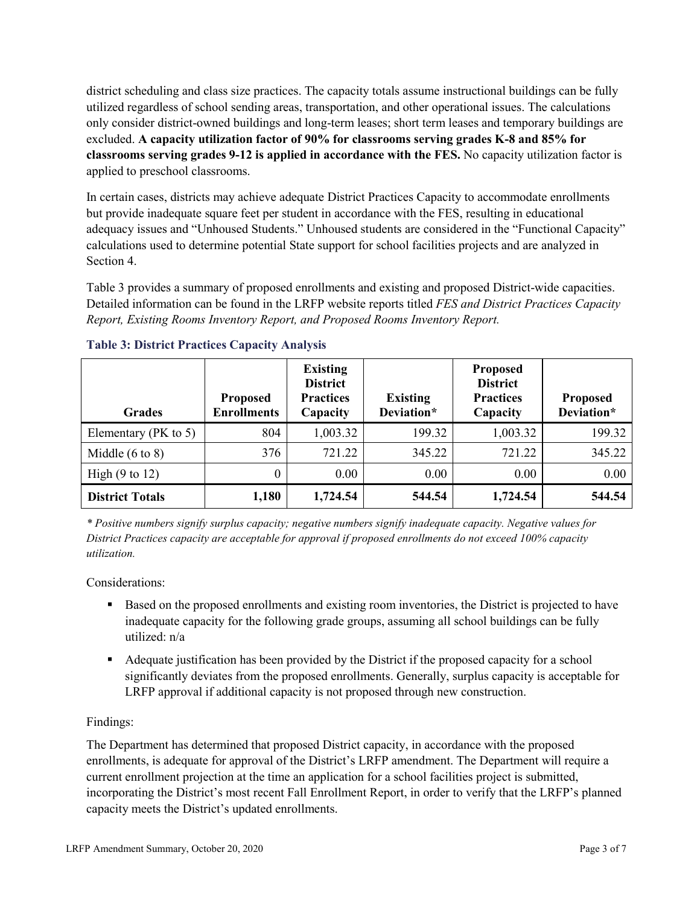district scheduling and class size practices. The capacity totals assume instructional buildings can be fully utilized regardless of school sending areas, transportation, and other operational issues. The calculations only consider district-owned buildings and long-term leases; short term leases and temporary buildings are excluded. **A capacity utilization factor of 90% for classrooms serving grades K-8 and 85% for classrooms serving grades 9-12 is applied in accordance with the FES.** No capacity utilization factor is applied to preschool classrooms.

In certain cases, districts may achieve adequate District Practices Capacity to accommodate enrollments but provide inadequate square feet per student in accordance with the FES, resulting in educational adequacy issues and "Unhoused Students." Unhoused students are considered in the "Functional Capacity" calculations used to determine potential State support for school facilities projects and are analyzed in Section 4.

Table 3 provides a summary of proposed enrollments and existing and proposed District-wide capacities. Detailed information can be found in the LRFP website reports titled *FES and District Practices Capacity Report, Existing Rooms Inventory Report, and Proposed Rooms Inventory Report.*

| <b>Grades</b>              | <b>Proposed</b><br><b>Enrollments</b> | <b>Existing</b><br><b>District</b><br><b>Practices</b><br>Capacity | <b>Existing</b><br>Deviation* | <b>Proposed</b><br><b>District</b><br><b>Practices</b><br>Capacity | <b>Proposed</b><br>Deviation* |
|----------------------------|---------------------------------------|--------------------------------------------------------------------|-------------------------------|--------------------------------------------------------------------|-------------------------------|
| Elementary ( $PK$ to 5)    | 804                                   | 1,003.32                                                           | 199.32                        | 1,003.32                                                           | 199.32                        |
| Middle $(6 \text{ to } 8)$ | 376                                   | 721.22                                                             | 345.22                        | 721.22                                                             | 345.22                        |
| High $(9 \text{ to } 12)$  | 0                                     | 0.00                                                               | 0.00                          | 0.00                                                               | 0.00                          |
| <b>District Totals</b>     | 1,180                                 | 1,724.54                                                           | 544.54                        | 1,724.54                                                           | 544.54                        |

## **Table 3: District Practices Capacity Analysis**

*\* Positive numbers signify surplus capacity; negative numbers signify inadequate capacity. Negative values for District Practices capacity are acceptable for approval if proposed enrollments do not exceed 100% capacity utilization.*

Considerations:

- Based on the proposed enrollments and existing room inventories, the District is projected to have inadequate capacity for the following grade groups, assuming all school buildings can be fully utilized: n/a
- Adequate justification has been provided by the District if the proposed capacity for a school significantly deviates from the proposed enrollments. Generally, surplus capacity is acceptable for LRFP approval if additional capacity is not proposed through new construction.

## Findings:

The Department has determined that proposed District capacity, in accordance with the proposed enrollments, is adequate for approval of the District's LRFP amendment. The Department will require a current enrollment projection at the time an application for a school facilities project is submitted, incorporating the District's most recent Fall Enrollment Report, in order to verify that the LRFP's planned capacity meets the District's updated enrollments.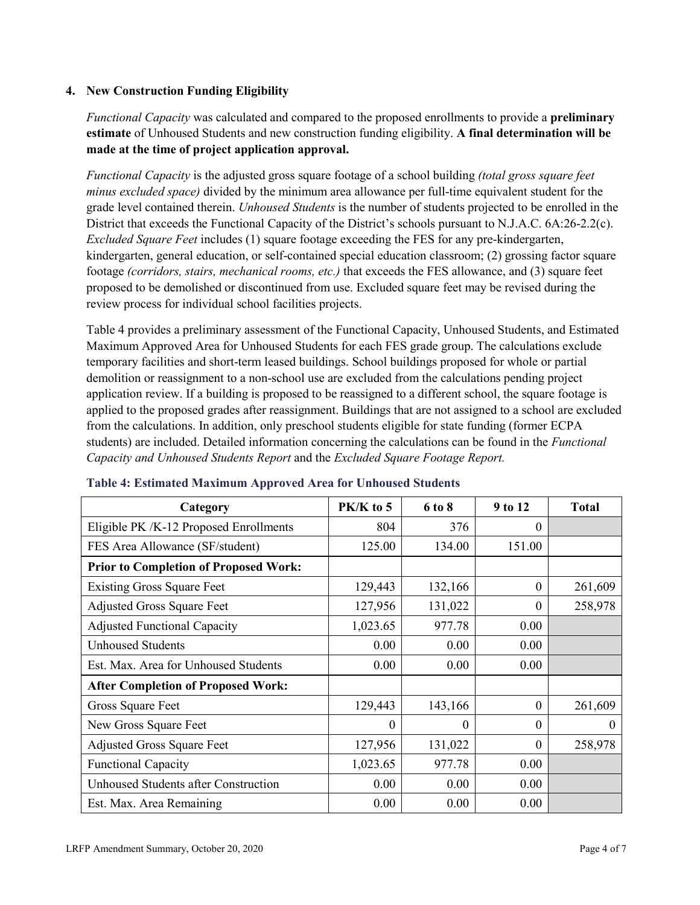#### **4. New Construction Funding Eligibility**

*Functional Capacity* was calculated and compared to the proposed enrollments to provide a **preliminary estimate** of Unhoused Students and new construction funding eligibility. **A final determination will be made at the time of project application approval.**

*Functional Capacity* is the adjusted gross square footage of a school building *(total gross square feet minus excluded space)* divided by the minimum area allowance per full-time equivalent student for the grade level contained therein. *Unhoused Students* is the number of students projected to be enrolled in the District that exceeds the Functional Capacity of the District's schools pursuant to N.J.A.C. 6A:26-2.2(c). *Excluded Square Feet* includes (1) square footage exceeding the FES for any pre-kindergarten, kindergarten, general education, or self-contained special education classroom; (2) grossing factor square footage *(corridors, stairs, mechanical rooms, etc.)* that exceeds the FES allowance, and (3) square feet proposed to be demolished or discontinued from use. Excluded square feet may be revised during the review process for individual school facilities projects.

Table 4 provides a preliminary assessment of the Functional Capacity, Unhoused Students, and Estimated Maximum Approved Area for Unhoused Students for each FES grade group. The calculations exclude temporary facilities and short-term leased buildings. School buildings proposed for whole or partial demolition or reassignment to a non-school use are excluded from the calculations pending project application review. If a building is proposed to be reassigned to a different school, the square footage is applied to the proposed grades after reassignment. Buildings that are not assigned to a school are excluded from the calculations. In addition, only preschool students eligible for state funding (former ECPA students) are included. Detailed information concerning the calculations can be found in the *Functional Capacity and Unhoused Students Report* and the *Excluded Square Footage Report.*

| Category                                     | $PK/K$ to 5 | 6 to 8  | 9 to 12  | <b>Total</b> |
|----------------------------------------------|-------------|---------|----------|--------------|
| Eligible PK /K-12 Proposed Enrollments       | 804         | 376     | 0        |              |
| FES Area Allowance (SF/student)              | 125.00      | 134.00  | 151.00   |              |
| <b>Prior to Completion of Proposed Work:</b> |             |         |          |              |
| <b>Existing Gross Square Feet</b>            | 129,443     | 132,166 | $\theta$ | 261,609      |
| <b>Adjusted Gross Square Feet</b>            | 127,956     | 131,022 | 0        | 258,978      |
| <b>Adjusted Functional Capacity</b>          | 1,023.65    | 977.78  | 0.00     |              |
| <b>Unhoused Students</b>                     | 0.00        | 0.00    | 0.00     |              |
| Est. Max. Area for Unhoused Students         | 0.00        | 0.00    | 0.00     |              |
| <b>After Completion of Proposed Work:</b>    |             |         |          |              |
| Gross Square Feet                            | 129,443     | 143,166 | $\theta$ | 261,609      |
| New Gross Square Feet                        | $\theta$    | 0       | $\theta$ | $\theta$     |
| <b>Adjusted Gross Square Feet</b>            | 127,956     | 131,022 | $\theta$ | 258,978      |
| <b>Functional Capacity</b>                   | 1,023.65    | 977.78  | 0.00     |              |
| Unhoused Students after Construction         | 0.00        | 0.00    | 0.00     |              |
| Est. Max. Area Remaining                     | 0.00        | 0.00    | 0.00     |              |

#### **Table 4: Estimated Maximum Approved Area for Unhoused Students**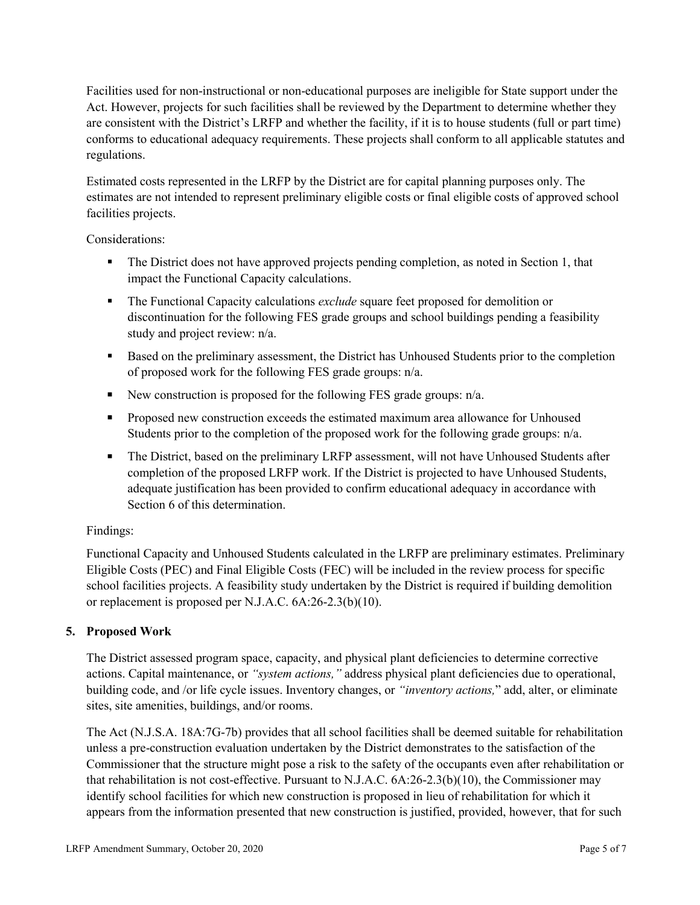Facilities used for non-instructional or non-educational purposes are ineligible for State support under the Act. However, projects for such facilities shall be reviewed by the Department to determine whether they are consistent with the District's LRFP and whether the facility, if it is to house students (full or part time) conforms to educational adequacy requirements. These projects shall conform to all applicable statutes and regulations.

Estimated costs represented in the LRFP by the District are for capital planning purposes only. The estimates are not intended to represent preliminary eligible costs or final eligible costs of approved school facilities projects.

Considerations:

- The District does not have approved projects pending completion, as noted in Section 1, that impact the Functional Capacity calculations.
- **The Functional Capacity calculations** *exclude* square feet proposed for demolition or discontinuation for the following FES grade groups and school buildings pending a feasibility study and project review: n/a.
- Based on the preliminary assessment, the District has Unhoused Students prior to the completion of proposed work for the following FES grade groups: n/a.
- New construction is proposed for the following FES grade groups: n/a.
- Proposed new construction exceeds the estimated maximum area allowance for Unhoused Students prior to the completion of the proposed work for the following grade groups: n/a.
- The District, based on the preliminary LRFP assessment, will not have Unhoused Students after completion of the proposed LRFP work. If the District is projected to have Unhoused Students, adequate justification has been provided to confirm educational adequacy in accordance with Section 6 of this determination.

## Findings:

Functional Capacity and Unhoused Students calculated in the LRFP are preliminary estimates. Preliminary Eligible Costs (PEC) and Final Eligible Costs (FEC) will be included in the review process for specific school facilities projects. A feasibility study undertaken by the District is required if building demolition or replacement is proposed per N.J.A.C. 6A:26-2.3(b)(10).

## **5. Proposed Work**

The District assessed program space, capacity, and physical plant deficiencies to determine corrective actions. Capital maintenance, or *"system actions,"* address physical plant deficiencies due to operational, building code, and /or life cycle issues. Inventory changes, or *"inventory actions,*" add, alter, or eliminate sites, site amenities, buildings, and/or rooms.

The Act (N.J.S.A. 18A:7G-7b) provides that all school facilities shall be deemed suitable for rehabilitation unless a pre-construction evaluation undertaken by the District demonstrates to the satisfaction of the Commissioner that the structure might pose a risk to the safety of the occupants even after rehabilitation or that rehabilitation is not cost-effective. Pursuant to N.J.A.C. 6A:26-2.3(b)(10), the Commissioner may identify school facilities for which new construction is proposed in lieu of rehabilitation for which it appears from the information presented that new construction is justified, provided, however, that for such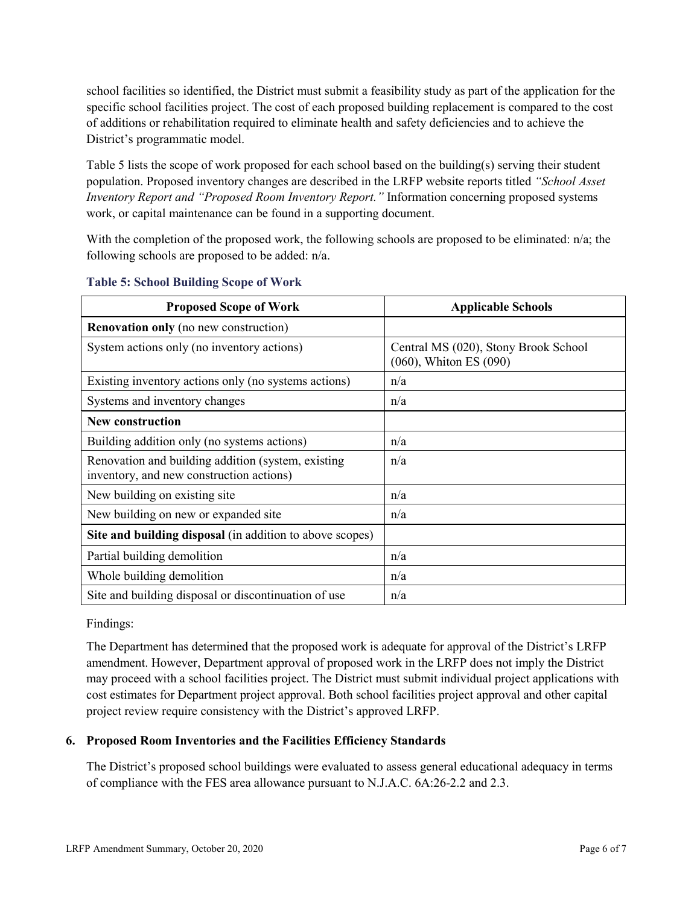school facilities so identified, the District must submit a feasibility study as part of the application for the specific school facilities project. The cost of each proposed building replacement is compared to the cost of additions or rehabilitation required to eliminate health and safety deficiencies and to achieve the District's programmatic model.

Table 5 lists the scope of work proposed for each school based on the building(s) serving their student population. Proposed inventory changes are described in the LRFP website reports titled *"School Asset Inventory Report and "Proposed Room Inventory Report."* Information concerning proposed systems work, or capital maintenance can be found in a supporting document.

With the completion of the proposed work, the following schools are proposed to be eliminated:  $n/a$ ; the following schools are proposed to be added: n/a.

| <b>Proposed Scope of Work</b>                                                                  | <b>Applicable Schools</b>                                      |
|------------------------------------------------------------------------------------------------|----------------------------------------------------------------|
| <b>Renovation only</b> (no new construction)                                                   |                                                                |
| System actions only (no inventory actions)                                                     | Central MS (020), Stony Brook School<br>(060), Whiton ES (090) |
| Existing inventory actions only (no systems actions)                                           | n/a                                                            |
| Systems and inventory changes                                                                  | n/a                                                            |
| <b>New construction</b>                                                                        |                                                                |
| Building addition only (no systems actions)                                                    | n/a                                                            |
| Renovation and building addition (system, existing<br>inventory, and new construction actions) | n/a                                                            |
| New building on existing site                                                                  | n/a                                                            |
| New building on new or expanded site                                                           | n/a                                                            |
| Site and building disposal (in addition to above scopes)                                       |                                                                |
| Partial building demolition                                                                    | n/a                                                            |
| Whole building demolition                                                                      | n/a                                                            |
| Site and building disposal or discontinuation of use                                           | n/a                                                            |

#### **Table 5: School Building Scope of Work**

Findings:

The Department has determined that the proposed work is adequate for approval of the District's LRFP amendment. However, Department approval of proposed work in the LRFP does not imply the District may proceed with a school facilities project. The District must submit individual project applications with cost estimates for Department project approval. Both school facilities project approval and other capital project review require consistency with the District's approved LRFP.

#### **6. Proposed Room Inventories and the Facilities Efficiency Standards**

The District's proposed school buildings were evaluated to assess general educational adequacy in terms of compliance with the FES area allowance pursuant to N.J.A.C. 6A:26-2.2 and 2.3.